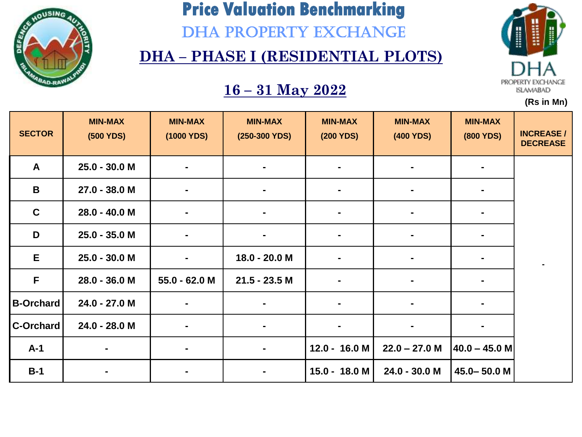

DHA PROPERTY EXCHANGE

### **DHA – PHASE I (RESIDENTIAL PLOTS)**

### **16 – 31 May 2022**



| <b>SECTOR</b>    | <b>MIN-MAX</b><br>(500 YDS) | <b>MIN-MAX</b><br>(1000 YDS) | <b>MIN-MAX</b><br>$(250-300$ YDS) | <b>MIN-MAX</b><br>(200 YDS) | <b>MIN-MAX</b><br>(400 YDS) | <b>MIN-MAX</b><br><b>(800 YDS)</b> | <b>INCREASE/</b><br><b>DECREASE</b> |
|------------------|-----------------------------|------------------------------|-----------------------------------|-----------------------------|-----------------------------|------------------------------------|-------------------------------------|
| $\mathbf{A}$     | 25.0 - 30.0 M               | $\blacksquare$               |                                   |                             |                             |                                    |                                     |
| B                | 27.0 - 38.0 M               | $\blacksquare$               | $\blacksquare$                    |                             | $\blacksquare$              |                                    |                                     |
| $\mathbf C$      | 28.0 - 40.0 M               | $\blacksquare$               | $\blacksquare$                    | $\blacksquare$              | $\blacksquare$              | $\blacksquare$                     |                                     |
| D                | 25.0 - 35.0 M               | $\blacksquare$               |                                   |                             | $\blacksquare$              |                                    |                                     |
| E                | 25.0 - 30.0 M               | $\blacksquare$               | 18.0 - 20.0 M                     |                             |                             |                                    |                                     |
| $\mathsf{F}$     | $28.0 - 36.0$ M             | $55.0 - 62.0 M$              | $21.5 - 23.5$ M                   |                             |                             |                                    |                                     |
| <b>B-Orchard</b> | 24.0 - 27.0 M               | $\blacksquare$               |                                   |                             |                             |                                    |                                     |
| <b>C-Orchard</b> | 24.0 - 28.0 M               | $\blacksquare$               | $\blacksquare$                    | ٠                           |                             |                                    |                                     |
| $A-1$            | $\blacksquare$              | $\blacksquare$               | $\blacksquare$                    | $12.0 - 16.0 M$             | $22.0 - 27.0$ M             | $ 40.0 - 45.0$ M                   |                                     |
| $B-1$            |                             | ٠                            |                                   | 15.0 - 18.0 M               | 24.0 - 30.0 M               | 45.0-50.0 M                        |                                     |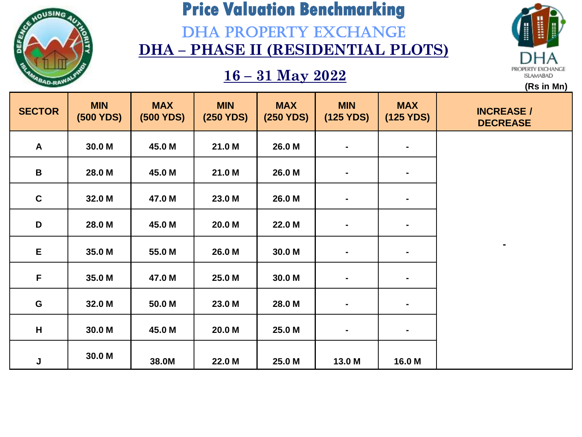

### DHA PROPERTY EXCHANGE **DHA – PHASE II (RESIDENTIAL PLOTS)**

### **16 – 31 May 2022**



| <b>SECTOR</b> | <b>MIN</b><br>(500 YDS) | <b>MAX</b><br>(500 YDS) | <b>MIN</b><br>(250 YDS) | <b>MAX</b><br>(250 YDS) | <b>MIN</b><br>(125 YDS) | <b>MAX</b><br>(125 YDS) | <b>INCREASE /</b><br><b>DECREASE</b> |
|---------------|-------------------------|-------------------------|-------------------------|-------------------------|-------------------------|-------------------------|--------------------------------------|
| $\mathsf{A}$  | 30.0 M                  | 45.0 M                  | 21.0 M                  | 26.0 M                  | $\blacksquare$          | $\blacksquare$          |                                      |
| $\mathbf B$   | 28.0 M                  | 45.0 M                  | 21.0 M                  | 26.0 M                  | $\blacksquare$          | ٠.                      |                                      |
| $\mathbf c$   | 32.0 M                  | 47.0 M                  | 23.0 M                  | 26.0 M                  | $\blacksquare$          | ٠.                      |                                      |
| D             | 28.0 M                  | 45.0 M                  | 20.0 M                  | 22.0 M                  | $\blacksquare$          | $\blacksquare$          |                                      |
| E             | 35.0 M                  | 55.0 M                  | 26.0 M                  | 30.0 M                  | $\blacksquare$          | $\blacksquare$          |                                      |
| F             | 35.0 M                  | 47.0 M                  | 25.0 M                  | 30.0 M                  | $\blacksquare$          | $\blacksquare$          |                                      |
| G             | 32.0 M                  | 50.0 M                  | 23.0 M                  | 28.0 M                  | $\blacksquare$          | $\blacksquare$          |                                      |
| H             | 30.0 M                  | 45.0 M                  | 20.0 M                  | 25.0 M                  | $\blacksquare$          | ٠.                      |                                      |
| J             | 30.0 M                  | 38.0M                   | 22.0 M                  | 25.0 M                  | 13.0 M                  | 16.0 M                  |                                      |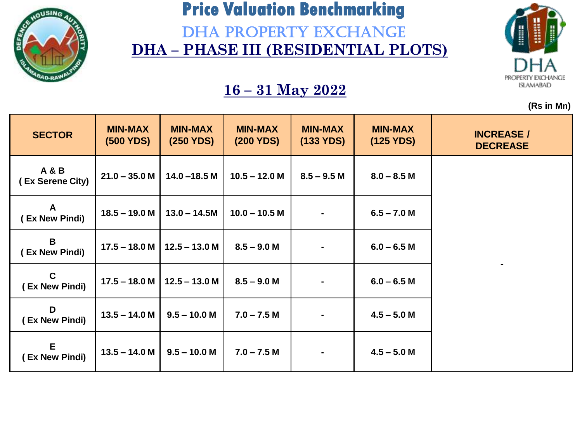

DHA PROPERTY EXCHANGE **DHA – PHASE III (RESIDENTIAL PLOTS)** 



**(Rs in Mn)**

| <b>SECTOR</b>                      | <b>MIN-MAX</b><br>(500 YDS) | <b>MIN-MAX</b><br>(250 YDS) | <b>MIN-MAX</b><br>(200 YDS) | <b>MIN-MAX</b><br>(133 YDS) | <b>MIN-MAX</b><br>(125 YDS) | <b>INCREASE /</b><br><b>DECREASE</b> |
|------------------------------------|-----------------------------|-----------------------------|-----------------------------|-----------------------------|-----------------------------|--------------------------------------|
| <b>A&amp;B</b><br>(Ex Serene City) | $21.0 - 35.0 M$             | $14.0 - 18.5 M$             | $10.5 - 12.0 M$             | $8.5 - 9.5 M$               | $8.0 - 8.5$ M               |                                      |
| A<br>(Ex New Pindi)                | $18.5 - 19.0$ M             | $13.0 - 14.5M$              | $10.0 - 10.5 M$             |                             | $6.5 - 7.0 M$               |                                      |
| B<br>(Ex New Pindi)                | $17.5 - 18.0 M$             | $12.5 - 13.0 M$             | $8.5 - 9.0 M$               |                             | $6.0 - 6.5 M$               |                                      |
| $\mathbf C$<br>(Ex New Pindi)      | $17.5 - 18.0 M$             | $12.5 - 13.0 M$             | $8.5 - 9.0 M$               |                             | $6.0 - 6.5 M$               |                                      |
| D<br>(Ex New Pindi)                | $13.5 - 14.0 M$             | $9.5 - 10.0 M$              | $7.0 - 7.5 M$               |                             | $4.5 - 5.0 M$               |                                      |
| E.<br>(Ex New Pindi)               | $13.5 - 14.0 M$             | $9.5 - 10.0 M$              | $7.0 - 7.5 M$               | ۰.                          | $4.5 - 5.0 M$               |                                      |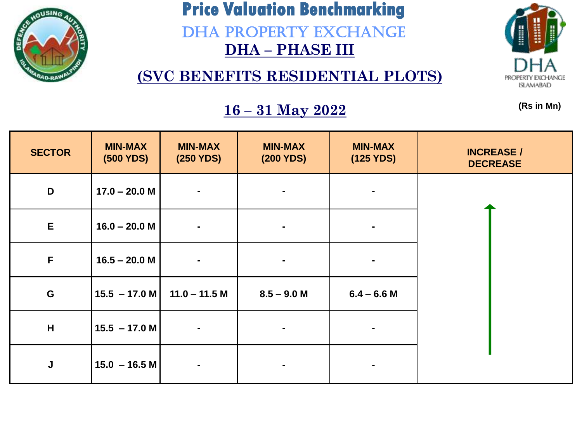

DHA PROPERTY EXCHANGE **DHA – PHASE III** 

**(SVC BENEFITS RESIDENTIAL PLOTS)**



**(Rs in Mn)**

| <b>SECTOR</b> | <b>MIN-MAX</b><br>(500 YDS) | <b>MIN-MAX</b><br>(250 YDS)  | <b>MIN-MAX</b><br>(200 YDS) | <b>MIN-MAX</b><br>(125 YDS) | <b>INCREASE /</b><br><b>DECREASE</b> |
|---------------|-----------------------------|------------------------------|-----------------------------|-----------------------------|--------------------------------------|
| D             | $17.0 - 20.0 M$             | $\qquad \qquad \blacksquare$ | ٠                           |                             |                                      |
| $\mathsf E$   | $16.0 - 20.0 M$             | $\blacksquare$               | $\blacksquare$              |                             |                                      |
| F             | $16.5 - 20.0 M$             | $\blacksquare$               |                             |                             |                                      |
| G             | $15.5 - 17.0 M$             | $11.0 - 11.5 M$              | $8.5 - 9.0 M$               | $6.4 - 6.6$ M               |                                      |
| H             | $15.5 - 17.0 M$             | $\blacksquare$               |                             |                             |                                      |
| $\mathsf J$   | $15.0 - 16.5 M$             | $\blacksquare$               |                             |                             |                                      |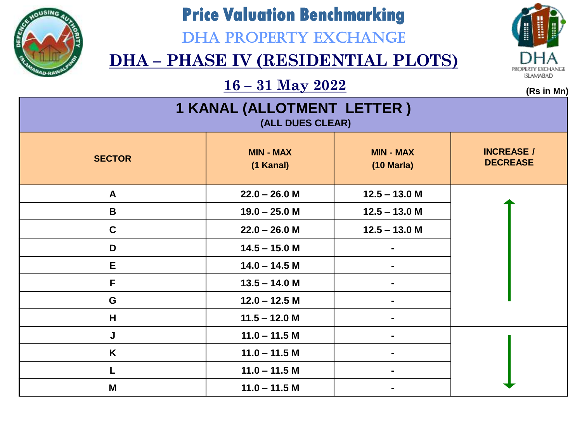

### DHA PROPERTY EXCHANGE

### **DHA – PHASE IV (RESIDENTIAL PLOTS)**



 $\frac{16 - 31 \text{ May } 2022}{\text{ms in } \mathfrak{m}}$ 

| 1 KANAL (ALLOTMENT LETTER )<br>(ALL DUES CLEAR) |                               |                                          |                                      |  |  |  |
|-------------------------------------------------|-------------------------------|------------------------------------------|--------------------------------------|--|--|--|
| <b>SECTOR</b>                                   | <b>MIN - MAX</b><br>(1 Kanal) | <b>MIN - MAX</b><br>$(10 \text{ Maria})$ | <b>INCREASE /</b><br><b>DECREASE</b> |  |  |  |
| $\mathbf{A}$                                    | $22.0 - 26.0 M$               | $12.5 - 13.0$ M                          |                                      |  |  |  |
| $\mathbf B$                                     | $19.0 - 25.0 M$               | $12.5 - 13.0$ M                          |                                      |  |  |  |
| $\mathbf C$                                     | $22.0 - 26.0 M$               | $12.5 - 13.0$ M                          |                                      |  |  |  |
| D                                               | $14.5 - 15.0 M$               |                                          |                                      |  |  |  |
| E                                               | $14.0 - 14.5 M$               |                                          |                                      |  |  |  |
| F                                               | $13.5 - 14.0 M$               |                                          |                                      |  |  |  |
| G                                               | $12.0 - 12.5 M$               |                                          |                                      |  |  |  |
| H                                               | $11.5 - 12.0$ M               |                                          |                                      |  |  |  |
| J                                               | $11.0 - 11.5 M$               |                                          |                                      |  |  |  |
| K                                               | $11.0 - 11.5 M$               |                                          |                                      |  |  |  |
|                                                 | $11.0 - 11.5 M$               |                                          |                                      |  |  |  |
| M                                               | $11.0 - 11.5 M$               |                                          |                                      |  |  |  |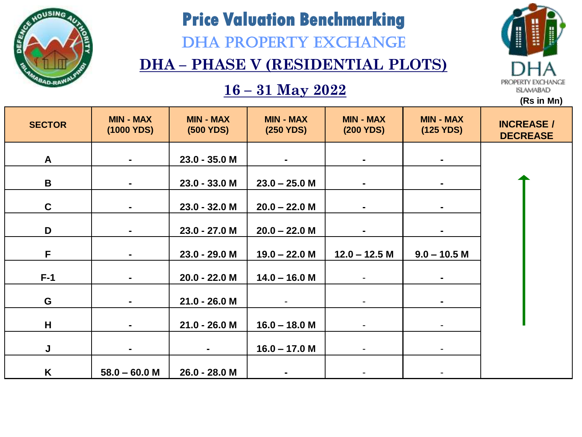

DHA PROPERTY EXCHANGE

### **DHA – PHASE V (RESIDENTIAL PLOTS)**

#### **16 – 31 May 2022**



| <b>SECTOR</b> | <b>MIN - MAX</b><br>(1000 YDS) | <b>MIN - MAX</b><br><b>(500 YDS)</b> | <b>MIN - MAX</b><br>(250 YDS) | <b>MIN - MAX</b><br>(200 YDS) | <b>MIN - MAX</b><br>(125 YDS) | <b>INCREASE /</b><br><b>DECREASE</b> |
|---------------|--------------------------------|--------------------------------------|-------------------------------|-------------------------------|-------------------------------|--------------------------------------|
| $\mathsf{A}$  | $\blacksquare$                 | 23.0 - 35.0 M                        |                               | $\blacksquare$                | $\blacksquare$                |                                      |
| B             | $\blacksquare$                 | $23.0 - 33.0 M$                      | $23.0 - 25.0$ M               | $\blacksquare$                |                               |                                      |
| $\mathbf C$   | $\blacksquare$                 | 23.0 - 32.0 M                        | $20.0 - 22.0 M$               | $\blacksquare$                | $\blacksquare$                |                                      |
| D             | $\blacksquare$                 | 23.0 - 27.0 M                        | $20.0 - 22.0 M$               |                               | $\blacksquare$                |                                      |
| F.            | $\blacksquare$                 | 23.0 - 29.0 M                        | $19.0 - 22.0 M$               | $12.0 - 12.5$ M               | $9.0 - 10.5 M$                |                                      |
| $F-1$         | $\blacksquare$                 | 20.0 - 22.0 M                        | $14.0 - 16.0 M$               |                               |                               |                                      |
| G             | $\blacksquare$                 | $21.0 - 26.0 M$                      |                               | $\qquad \qquad \blacksquare$  | $\blacksquare$                |                                      |
| H             | $\blacksquare$                 | 21.0 - 26.0 M                        | $16.0 - 18.0 M$               | $\overline{a}$                |                               |                                      |
| J             | $\blacksquare$                 | $\blacksquare$                       | $16.0 - 17.0 M$               | $\blacksquare$                | $\blacksquare$                |                                      |
| K             | $58.0 - 60.0 M$                | 26.0 - 28.0 M                        |                               |                               |                               |                                      |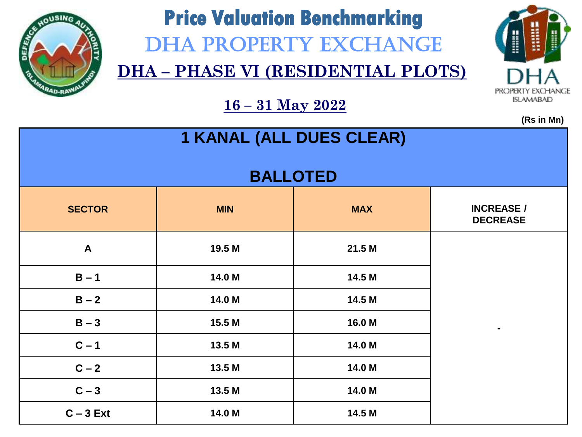

# **Price Valuation Benchmarking**  DHA PROPERTY EXCHANGE

**DHA – PHASE VI (RESIDENTIAL PLOTS)**



**(Rs in Mn)**

| <b>1 KANAL (ALL DUES CLEAR)</b> |            |                 |                                      |  |  |
|---------------------------------|------------|-----------------|--------------------------------------|--|--|
|                                 |            | <b>BALLOTED</b> |                                      |  |  |
| <b>SECTOR</b>                   | <b>MIN</b> | <b>MAX</b>      | <b>INCREASE /</b><br><b>DECREASE</b> |  |  |
| $\mathbf{A}$                    | 19.5 M     | 21.5 M          |                                      |  |  |
| $B - 1$                         | 14.0 M     | 14.5 M          |                                      |  |  |
| $B - 2$                         | 14.0 M     | 14.5 M          |                                      |  |  |
| $B - 3$                         | 15.5 M     | 16.0 M          |                                      |  |  |
| $C - 1$                         | 13.5 M     | 14.0 M          |                                      |  |  |
| $C - 2$                         | 13.5 M     | 14.0 M          |                                      |  |  |
| $C - 3$                         | 13.5 M     | 14.0 M          |                                      |  |  |
| $C - 3$ Ext                     | 14.0 M     | 14.5 M          |                                      |  |  |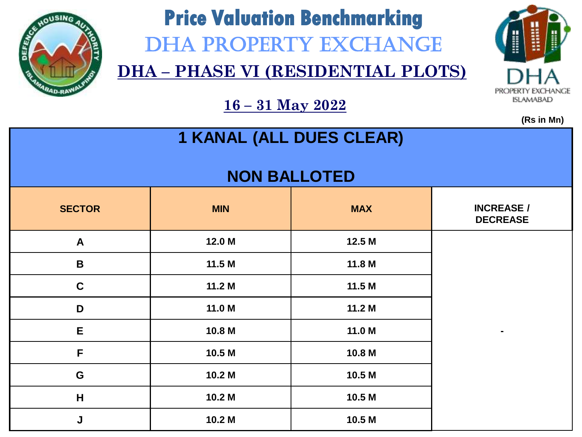

# **Price Valuation Benchmarking**  DHA PROPERTY EXCHANGE

**DHA – PHASE VI (RESIDENTIAL PLOTS)**



|                                 |                   |            | (Rs in Mn)                           |  |  |  |
|---------------------------------|-------------------|------------|--------------------------------------|--|--|--|
| <b>1 KANAL (ALL DUES CLEAR)</b> |                   |            |                                      |  |  |  |
| <b>NON BALLOTED</b>             |                   |            |                                      |  |  |  |
| <b>SECTOR</b>                   | <b>MIN</b>        | <b>MAX</b> | <b>INCREASE /</b><br><b>DECREASE</b> |  |  |  |
| $\mathsf{A}$                    | 12.0 M            | 12.5 M     |                                      |  |  |  |
| $\mathbf B$                     | 11.5M             | 11.8 M     |                                      |  |  |  |
| $\mathbf C$                     | 11.2 <sub>M</sub> | 11.5 M     |                                      |  |  |  |
| D                               | 11.0 M            | 11.2 M     |                                      |  |  |  |
| E                               | 10.8 M            | 11.0 M     | $\blacksquare$                       |  |  |  |
| F                               | 10.5 M            | 10.8 M     |                                      |  |  |  |
| G                               | 10.2 M            | 10.5 M     |                                      |  |  |  |
| $\overline{\mathsf{H}}$         | 10.2 M            | 10.5 M     |                                      |  |  |  |
| J                               | 10.2 M            | 10.5 M     |                                      |  |  |  |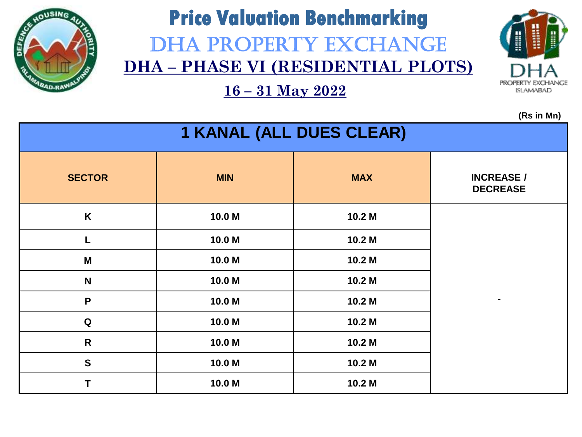

# **Price Valuation Benchmarking** DHA PROPERTY EXCHANGE **DHA – PHASE VI (RESIDENTIAL PLOTS)**

PRC **ISLAMABAD** 

**(Rs in Mn)**

| <b>1 KANAL (ALL DUES CLEAR)</b> |            |            |                                      |  |  |
|---------------------------------|------------|------------|--------------------------------------|--|--|
| <b>SECTOR</b>                   | <b>MIN</b> | <b>MAX</b> | <b>INCREASE /</b><br><b>DECREASE</b> |  |  |
| K                               | 10.0 M     | 10.2 M     |                                      |  |  |
| L                               | 10.0 M     | 10.2 M     |                                      |  |  |
| M                               | 10.0 M     | 10.2 M     |                                      |  |  |
| $\mathbf N$                     | 10.0 M     | 10.2 M     |                                      |  |  |
| P                               | 10.0 M     | 10.2 M     | ۰                                    |  |  |
| Q                               | 10.0 M     | 10.2 M     |                                      |  |  |
| $\mathsf{R}$                    | 10.0 M     | 10.2 M     |                                      |  |  |
| $\mathbf{s}$                    | 10.0 M     | 10.2 M     |                                      |  |  |
| T                               | 10.0 M     | 10.2 M     |                                      |  |  |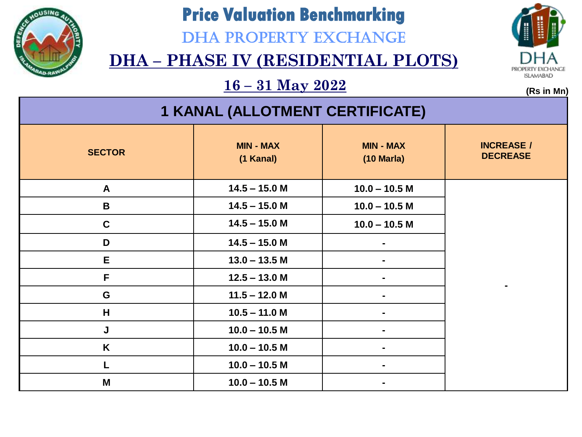

DHA PROPERTY EXCHANGE



### **DHA – PHASE IV (RESIDENTIAL PLOTS)**

 $\frac{16 - 31 \text{ May } 2022}{\text{ms in } \mathfrak{m}}$ 

| <b>1 KANAL (ALLOTMENT CERTIFICATE)</b> |                               |                                          |                                      |  |  |
|----------------------------------------|-------------------------------|------------------------------------------|--------------------------------------|--|--|
| <b>SECTOR</b>                          | <b>MIN - MAX</b><br>(1 Kanal) | <b>MIN - MAX</b><br>$(10 \text{ Maria})$ | <b>INCREASE /</b><br><b>DECREASE</b> |  |  |
| $\mathsf{A}$                           | $14.5 - 15.0 M$               | $10.0 - 10.5$ M                          |                                      |  |  |
| B                                      | $14.5 - 15.0 M$               | $10.0 - 10.5$ M                          |                                      |  |  |
| $\mathbf c$                            | $14.5 - 15.0 M$               | $10.0 - 10.5$ M                          |                                      |  |  |
| D                                      | $14.5 - 15.0$ M               |                                          |                                      |  |  |
| E.                                     | $13.0 - 13.5 M$               |                                          |                                      |  |  |
| F                                      | $12.5 - 13.0 M$               |                                          |                                      |  |  |
| G                                      | $11.5 - 12.0 M$               |                                          |                                      |  |  |
| H                                      | $10.5 - 11.0 M$               |                                          |                                      |  |  |
| J                                      | $10.0 - 10.5$ M               |                                          |                                      |  |  |
| K                                      | $10.0 - 10.5$ M               |                                          |                                      |  |  |
|                                        | $10.0 - 10.5 M$               |                                          |                                      |  |  |
| M                                      | $10.0 - 10.5$ M               |                                          |                                      |  |  |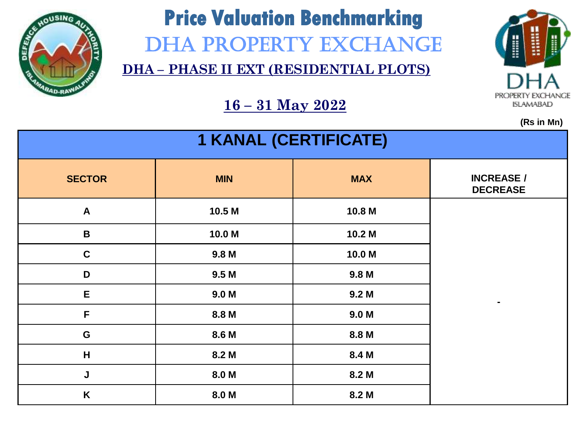

# **Price Valuation Benchmarking**  DHA PROPERTY EXCHANGE

**DHA – PHASE II EXT (RESIDENTIAL PLOTS)**



**(Rs in Mn)**

| <b>1 KANAL (CERTIFICATE)</b> |                  |                  |                                      |  |  |
|------------------------------|------------------|------------------|--------------------------------------|--|--|
| <b>SECTOR</b>                | <b>MIN</b>       | <b>MAX</b>       | <b>INCREASE /</b><br><b>DECREASE</b> |  |  |
| $\boldsymbol{A}$             | 10.5 M           | 10.8 M           |                                      |  |  |
| $\mathbf B$                  | 10.0 M           | 10.2 M           |                                      |  |  |
| $\mathbf c$                  | 9.8 <sub>M</sub> | 10.0 M           |                                      |  |  |
| D                            | 9.5 <sub>M</sub> | 9.8 M            |                                      |  |  |
| E                            | 9.0 <sub>M</sub> | 9.2 <sub>M</sub> |                                      |  |  |
| F                            | 8.8 M            | 9.0 <sub>M</sub> |                                      |  |  |
| ${\bf G}$                    | 8.6 M            | 8.8 M            |                                      |  |  |
| H                            | 8.2 M            | 8.4 M            |                                      |  |  |
| J                            | 8.0 M            | 8.2 M            |                                      |  |  |
| K                            | 8.0 M            | 8.2 M            |                                      |  |  |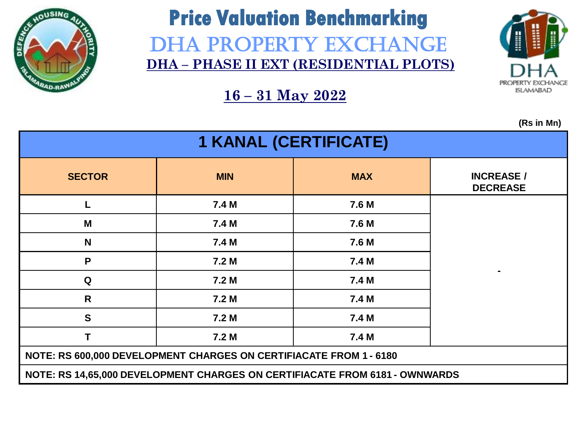

### **Price Valuation Benchmarking** DHA PROPERTY EXCHANGE **DHA – PHASE II EXT (RESIDENTIAL PLOTS)**



**16 – 31 May 2022**

| <b>1 KANAL (CERTIFICATE)</b>                                       |                                                                             |            |                                      |  |  |  |  |
|--------------------------------------------------------------------|-----------------------------------------------------------------------------|------------|--------------------------------------|--|--|--|--|
| <b>SECTOR</b>                                                      | <b>MIN</b>                                                                  | <b>MAX</b> | <b>INCREASE /</b><br><b>DECREASE</b> |  |  |  |  |
|                                                                    | 7.4 M                                                                       | 7.6 M      |                                      |  |  |  |  |
| M                                                                  | 7.4 M                                                                       | 7.6 M      |                                      |  |  |  |  |
| N                                                                  | 7.4 M                                                                       | 7.6 M      |                                      |  |  |  |  |
| P                                                                  | 7.2 M                                                                       | 7.4 M      |                                      |  |  |  |  |
| Q                                                                  | 7.2 <sub>M</sub>                                                            | 7.4 M      |                                      |  |  |  |  |
| R                                                                  | 7.2 <sub>M</sub>                                                            | 7.4 M      |                                      |  |  |  |  |
| $\mathbf{s}$                                                       | 7.2 <sub>M</sub>                                                            | 7.4 M      |                                      |  |  |  |  |
| Τ                                                                  | 7.2 <sub>M</sub>                                                            | 7.4 M      |                                      |  |  |  |  |
| NOTE: RS 600,000 DEVELOPMENT CHARGES ON CERTIFIACATE FROM 1 - 6180 |                                                                             |            |                                      |  |  |  |  |
|                                                                    | NOTE: RS 14,65,000 DEVELOPMENT CHARGES ON CERTIFIACATE FROM 6181 - OWNWARDS |            |                                      |  |  |  |  |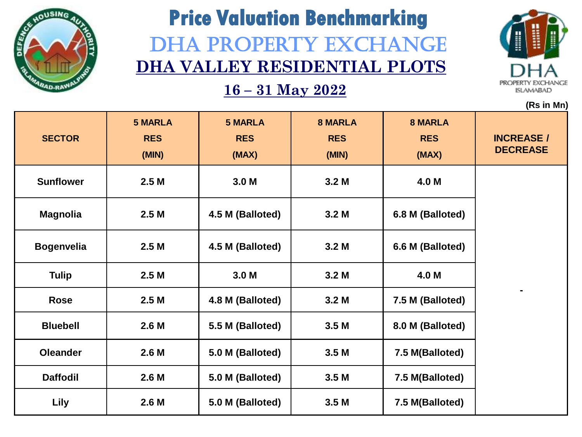

# **Price Valuation Benchmarking** DHA PROPERTY EXCHANGE **DHA VALLEY RESIDENTIAL PLOTS**



|                   |                                       |                                       |                                       |                                       | (Rs in Mn)                           |
|-------------------|---------------------------------------|---------------------------------------|---------------------------------------|---------------------------------------|--------------------------------------|
| <b>SECTOR</b>     | <b>5 MARLA</b><br><b>RES</b><br>(MIN) | <b>5 MARLA</b><br><b>RES</b><br>(MAX) | <b>8 MARLA</b><br><b>RES</b><br>(MIN) | <b>8 MARLA</b><br><b>RES</b><br>(MAX) | <b>INCREASE /</b><br><b>DECREASE</b> |
| <b>Sunflower</b>  | 2.5 <sub>M</sub>                      | 3.0 <sub>M</sub>                      | 3.2 <sub>M</sub>                      | 4.0 M                                 |                                      |
| <b>Magnolia</b>   | 2.5M                                  | 4.5 M (Balloted)                      | 3.2 <sub>M</sub>                      | 6.8 M (Balloted)                      |                                      |
| <b>Bogenvelia</b> | 2.5 <sub>M</sub>                      | 4.5 M (Balloted)                      | 3.2 <sub>M</sub>                      | 6.6 M (Balloted)                      |                                      |
| <b>Tulip</b>      | 2.5 <sub>M</sub>                      | 3.0 <sub>M</sub>                      | 3.2 <sub>M</sub>                      | 4.0 M                                 |                                      |
| Rose              | 2.5M                                  | 4.8 M (Balloted)                      | 3.2 <sub>M</sub>                      | 7.5 M (Balloted)                      |                                      |
| <b>Bluebell</b>   | 2.6 <sub>M</sub>                      | 5.5 M (Balloted)                      | 3.5 <sub>M</sub>                      | 8.0 M (Balloted)                      |                                      |
| <b>Oleander</b>   | 2.6 <sub>M</sub>                      | 5.0 M (Balloted)                      | 3.5 <sub>M</sub>                      | 7.5 M(Balloted)                       |                                      |
| <b>Daffodil</b>   | 2.6 <sub>M</sub>                      | 5.0 M (Balloted)                      | 3.5 <sub>M</sub>                      | 7.5 M(Balloted)                       |                                      |
| <b>Lily</b>       | 2.6 <sub>M</sub>                      | 5.0 M (Balloted)                      | 3.5 <sub>M</sub>                      | 7.5 M(Balloted)                       |                                      |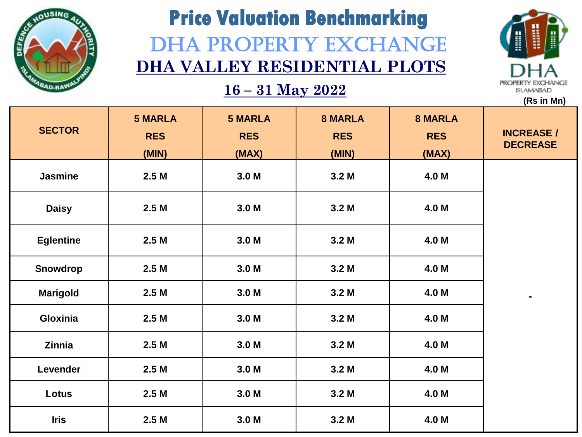

# **Price Valuation Benchmarking** DHA PROPERTY EXCHANGE **DHA VALLEY RESIDENTIAL PLOTS**



**16 – 31 May 2022**

|                  |                                       |                                       |                                       |                                       | (Rs in Mn)                           |
|------------------|---------------------------------------|---------------------------------------|---------------------------------------|---------------------------------------|--------------------------------------|
| <b>SECTOR</b>    | <b>5 MARLA</b><br><b>RES</b><br>(MIN) | <b>5 MARLA</b><br><b>RES</b><br>(MAX) | <b>8 MARLA</b><br><b>RES</b><br>(MIN) | <b>8 MARLA</b><br><b>RES</b><br>(MAX) | <b>INCREASE /</b><br><b>DECREASE</b> |
| <b>Jasmine</b>   | 2.5M                                  | 3.0 <sub>M</sub>                      | 3.2 <sub>M</sub>                      | 4.0 M                                 |                                      |
| <b>Daisy</b>     | 2.5M                                  | 3.0 <sub>M</sub>                      | 3.2 <sub>M</sub>                      | 4.0 M                                 |                                      |
| <b>Eglentine</b> | 2.5 <sub>M</sub>                      | 3.0 <sub>M</sub>                      | 3.2 <sub>M</sub>                      | 4.0 M                                 |                                      |
| Snowdrop         | 2.5 <sub>M</sub>                      | 3.0 <sub>M</sub>                      | 3.2 <sub>M</sub>                      | 4.0 M                                 |                                      |
| <b>Marigold</b>  | 2.5M                                  | 3.0 <sub>M</sub>                      | 3.2 <sub>M</sub>                      | 4.0 M                                 | $\blacksquare$                       |
| Gloxinia         | 2.5M                                  | 3.0 <sub>M</sub>                      | 3.2 <sub>M</sub>                      | 4.0 M                                 |                                      |
| Zinnia           | 2.5M                                  | 3.0 <sub>M</sub>                      | 3.2 <sub>M</sub>                      | 4.0 M                                 |                                      |
| Levender         | 2.5M                                  | 3.0 <sub>M</sub>                      | 3.2 <sub>M</sub>                      | 4.0 M                                 |                                      |
| Lotus            | 2.5M                                  | 3.0 <sub>M</sub>                      | 3.2 <sub>M</sub>                      | 4.0 M                                 |                                      |
|                  |                                       |                                       |                                       |                                       |                                      |

**Iris 2.5 M 3.0 M 3.2 M 4.0 M**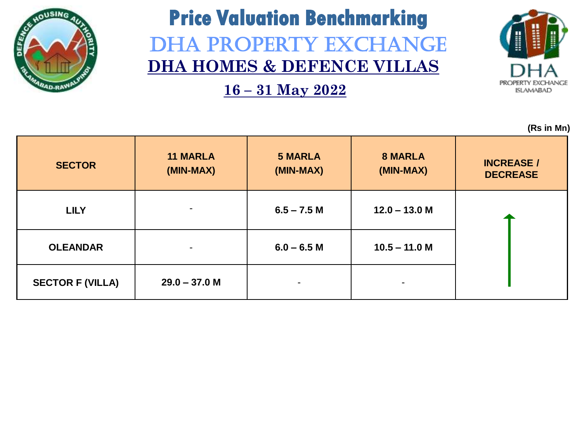

## **Price Valuation Benchmarking** DHA PROPERTY EXCHANGE **DHA HOMES & DEFENCE VILLAS**

**16 – 31 May 2022**



| <b>SECTOR</b>           | <b>11 MARLA</b><br>(MIN-MAX) | <b>5 MARLA</b><br>(MIN-MAX) | <b>8 MARLA</b><br>(MIN-MAX) | <b>INCREASE /</b><br><b>DECREASE</b> |
|-------------------------|------------------------------|-----------------------------|-----------------------------|--------------------------------------|
| <b>LILY</b>             |                              | $6.5 - 7.5$ M               | $12.0 - 13.0 M$             |                                      |
| <b>OLEANDAR</b>         | $\blacksquare$               | $6.0 - 6.5 M$               | $10.5 - 11.0 M$             |                                      |
| <b>SECTOR F (VILLA)</b> | $29.0 - 37.0 M$              | $\blacksquare$              | $\overline{\phantom{a}}$    |                                      |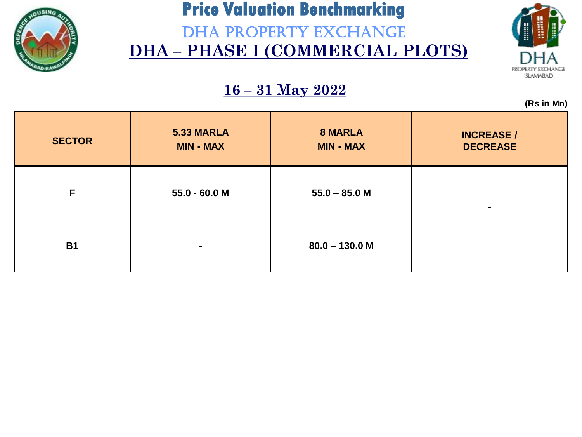

DHA PROPERTY EXCHANGE **DHA – PHASE I (COMMERCIAL PLOTS)**



**(Rs in Mn)**

|               |                                |                                    | $\mathbf{z}$                         |
|---------------|--------------------------------|------------------------------------|--------------------------------------|
| <b>SECTOR</b> | 5.33 MARLA<br><b>MIN - MAX</b> | <b>8 MARLA</b><br><b>MIN - MAX</b> | <b>INCREASE /</b><br><b>DECREASE</b> |
| F             | 55.0 - 60.0 M                  | $55.0 - 85.0 M$                    | -                                    |
| <b>B1</b>     | $\blacksquare$                 | $80.0 - 130.0 M$                   |                                      |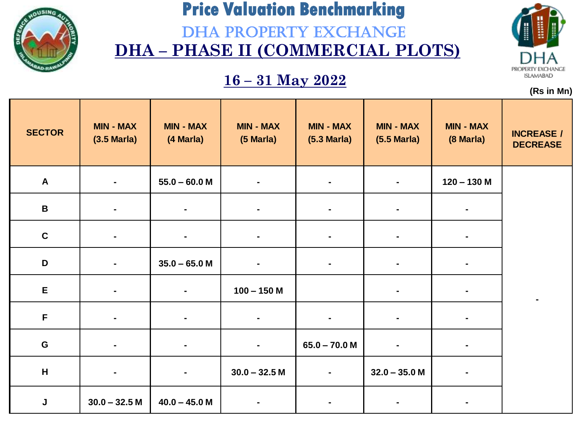

DHA PROPERTY EXCHANGE **DHA – PHASE II (COMMERCIAL PLOTS)**

### **16 – 31 May 2022**



| <b>SECTOR</b>    | <b>MIN - MAX</b><br>$(3.5 \text{ Maria})$ | <b>MIN - MAX</b><br>(4 Marla) | <b>MIN - MAX</b><br>(5 Marla) | <b>MIN - MAX</b><br>$(5.3 \text{ Maria})$ | <b>MIN - MAX</b><br>$(5.5 \text{ Maria})$ | <b>MIN - MAX</b><br>(8 Marla) | <b>INCREASE /</b><br><b>DECREASE</b> |
|------------------|-------------------------------------------|-------------------------------|-------------------------------|-------------------------------------------|-------------------------------------------|-------------------------------|--------------------------------------|
| $\boldsymbol{A}$ |                                           | $55.0 - 60.0 M$               |                               | $\blacksquare$                            |                                           | $120 - 130$ M                 |                                      |
| $\, {\bf B} \,$  | $\blacksquare$                            | $\blacksquare$                | $\blacksquare$                | $\blacksquare$                            | ٠.                                        | $\blacksquare$                |                                      |
| $\mathbf c$      |                                           | $\blacksquare$                |                               | $\blacksquare$                            |                                           |                               |                                      |
| D                | $\blacksquare$                            | $35.0 - 65.0 M$               |                               | $\blacksquare$                            | $\blacksquare$                            | $\blacksquare$                |                                      |
| E                | $\blacksquare$                            | $\blacksquare$                | $100 - 150$ M                 |                                           | ٠.                                        |                               |                                      |
| $\mathsf F$      | $\blacksquare$                            | $\blacksquare$                |                               | $\blacksquare$                            | $\blacksquare$                            | ۰                             |                                      |
| G                | $\blacksquare$                            | $\blacksquare$                | $\blacksquare$                | $65.0 - 70.0 M$                           | $\blacksquare$                            |                               |                                      |
| H                |                                           | $\blacksquare$                | $30.0 - 32.5 M$               | $\blacksquare$                            | $32.0 - 35.0 M$                           |                               |                                      |
| J                | $30.0 - 32.5 M$                           | $40.0 - 45.0 M$               |                               |                                           |                                           |                               |                                      |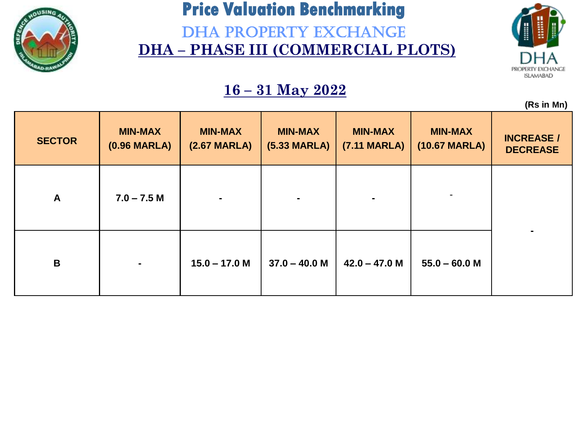

DHA PROPERTY EXCHANGE **DHA – PHASE III (COMMERCIAL PLOTS)**



**(Rs in Mn)**

|               |                                          |                                          |                                          |                                       |                                 | $\cdots$                             |
|---------------|------------------------------------------|------------------------------------------|------------------------------------------|---------------------------------------|---------------------------------|--------------------------------------|
| <b>SECTOR</b> | <b>MIN-MAX</b><br>$(0.96 \text{ MARLA})$ | <b>MIN-MAX</b><br>$(2.67 \text{ MARLA})$ | <b>MIN-MAX</b><br>$(5.33 \text{ MARLA})$ | <b>MIN-MAX</b><br><b>(7.11 MARLA)</b> | <b>MIN-MAX</b><br>(10.67 MARLA) | <b>INCREASE /</b><br><b>DECREASE</b> |
| A             | $7.0 - 7.5 M$                            | $\blacksquare$                           | $\blacksquare$                           |                                       | $\blacksquare$                  |                                      |
| B             | $\blacksquare$                           | $15.0 - 17.0 M$                          | $37.0 - 40.0 M$                          | $42.0 - 47.0 M$                       | $55.0 - 60.0 M$                 |                                      |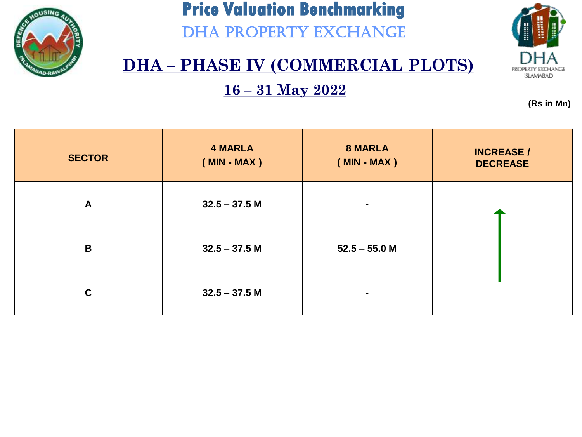

DHA PROPERTY EXCHANGE



### **DHA – PHASE IV (COMMERCIAL PLOTS)**

**16 – 31 May 2022**

| <b>SECTOR</b> | <b>4 MARLA</b><br>$(MIN - MAX)$ | <b>8 MARLA</b><br>$(MIN - MAX)$ | <b>INCREASE /</b><br><b>DECREASE</b> |
|---------------|---------------------------------|---------------------------------|--------------------------------------|
| $\mathsf{A}$  | $32.5 - 37.5$ M                 | ۰                               |                                      |
| $\mathbf B$   | $32.5 - 37.5 M$                 | $52.5 - 55.0$ M                 |                                      |
| $\mathbf C$   | $32.5 - 37.5$ M                 | $\blacksquare$                  |                                      |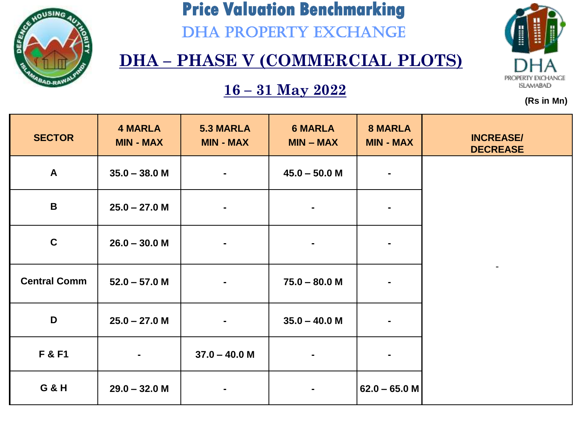

DHA PROPERTY EXCHANGE

# PROPERTY EXCHANGE **ISLAMABAD**

**(Rs in Mn)**

### **DHA – PHASE V (COMMERCIAL PLOTS)**

| <b>SECTOR</b>       | <b>4 MARLA</b><br><b>MIN - MAX</b> | <b>5.3 MARLA</b><br><b>MIN - MAX</b> | <b>6 MARLA</b><br>$MIN - MAX$ | <b>8 MARLA</b><br><b>MIN - MAX</b> | <b>INCREASE/</b><br><b>DECREASE</b> |
|---------------------|------------------------------------|--------------------------------------|-------------------------------|------------------------------------|-------------------------------------|
| $\mathsf{A}$        | $35.0 - 38.0 M$                    | $\blacksquare$                       | $45.0 - 50.0 M$               | $\blacksquare$                     |                                     |
| B                   | $25.0 - 27.0 M$                    |                                      | $\blacksquare$                | $\blacksquare$                     |                                     |
| $\mathbf c$         | $26.0 - 30.0 M$                    | $\blacksquare$                       | $\blacksquare$                | $\blacksquare$                     |                                     |
| <b>Central Comm</b> | $52.0 - 57.0 M$                    |                                      | $75.0 - 80.0 M$               | $\blacksquare$                     | $\blacksquare$                      |
| D                   | $25.0 - 27.0 M$                    |                                      | $35.0 - 40.0 M$               | $\blacksquare$                     |                                     |
| F & F1              | $\blacksquare$                     | $37.0 - 40.0 M$                      | $\blacksquare$                | $\blacksquare$                     |                                     |
| <b>G &amp; H</b>    | $29.0 - 32.0 M$                    | $\blacksquare$                       | $\blacksquare$                | $62.0 - 65.0 M$                    |                                     |